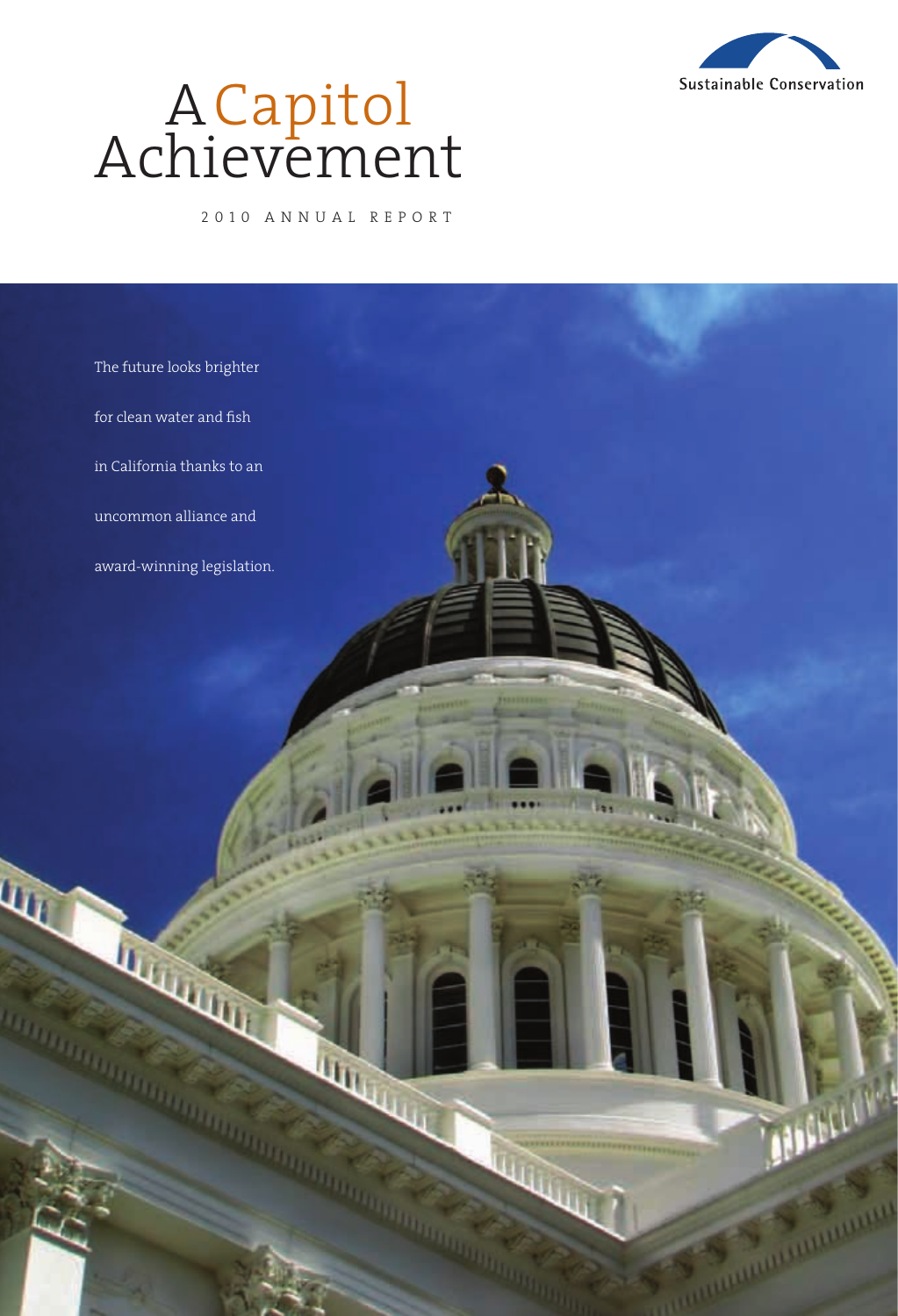

# Achiev<del>e</del>ment A Capitol

2010 ANNUAL REPORT

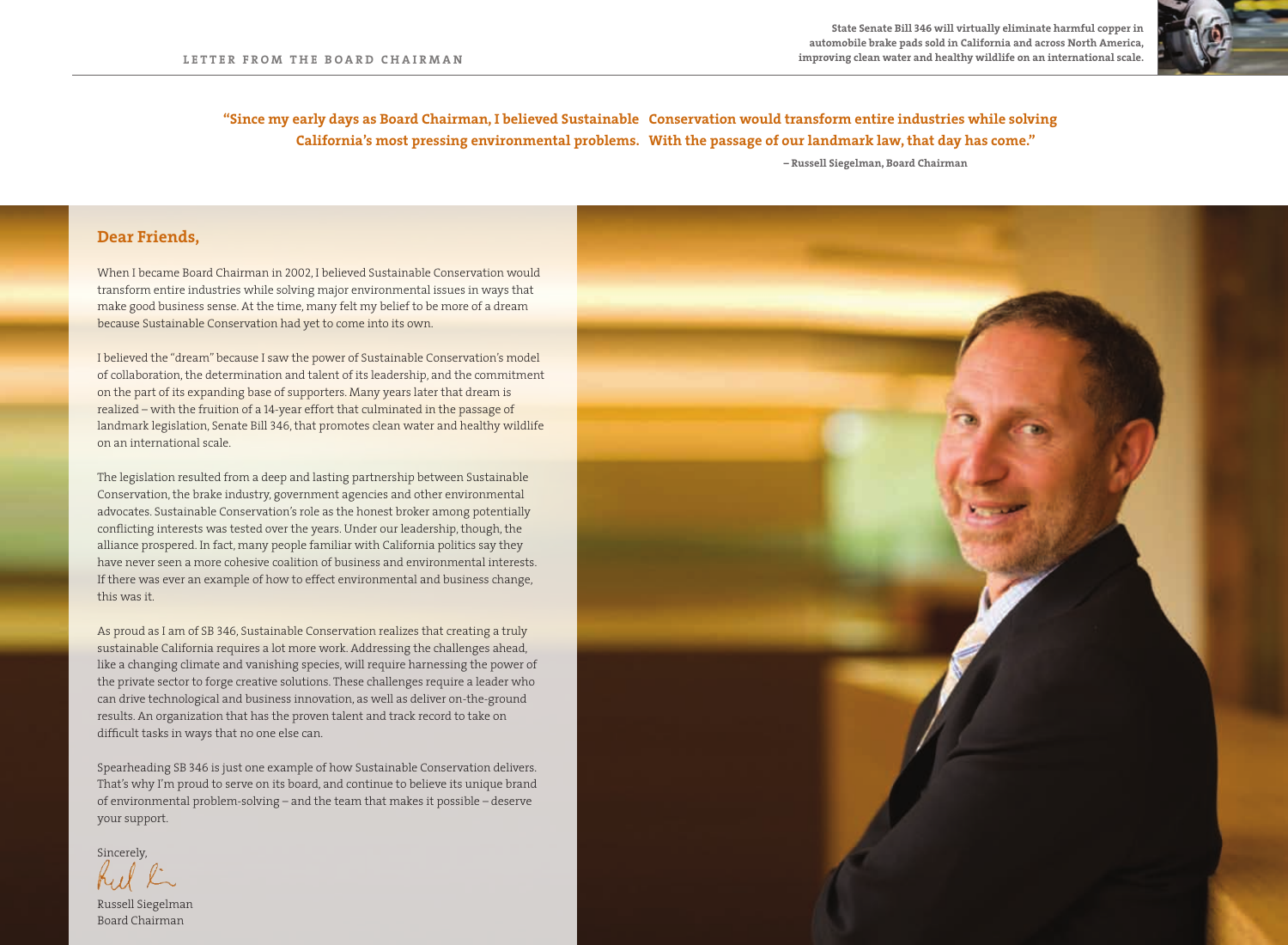

**"Since my early days as Board Chairman, I believed Sustainable Conservation would transform entire industries while solving California's most pressing environmental problems. With the passage of our landmark law, that day has come."**

 **– Russell Siegelman, Board Chairman**

## **Dear Friends,**

When I became Board Chairman in 2002, I believed Sustainable Conservation would transform entire industries while solving major environmental issues in ways that make good business sense. At the time, many felt my belief to be more of a dream because Sustainable Conservation had yet to come into its own.

I believed the "dream" because I saw the power of Sustainable Conservation's model of collaboration, the determination and talent of its leadership, and the commitment on the part of its expanding base of supporters. Many years later that dream is realized – with the fruition of a 14-year effort that culminated in the passage of landmark legislation, Senate Bill 346, that promotes clean water and healthy wildlife on an international scale.

The legislation resulted from a deep and lasting partnership between Sustainable Conservation, the brake industry, government agencies and other environmental advocates. Sustainable Conservation's role as the honest broker among potentially alliance prospered. In fact, many people familiar with California politics say they have never seen a more cohesive coalition of business and environmental interests. If there was ever an example of how to effect environmental and business change, this was it.

As proud as I am of SB 346, Sustainable Conservation realizes that creating a truly sustainable California requires a lot more work. Addressing the challenges ahead, like a changing climate and vanishing species, will require harnessing the power of the private sector to forge creative solutions. These challenges require a leader who can drive technological and business innovation, as well as deliver on-the-ground results. An organization that has the proven talent and track record to take on difficult tasks in ways that no one else can.

Spearheading SB 346 is just one example of how Sustainable Conservation delivers. That's why I'm proud to serve on its board, and continue to believe its unique brand of environmental problem-solving – and the team that makes it possible – deserve your support.



Russell Siegelman Board Chairman

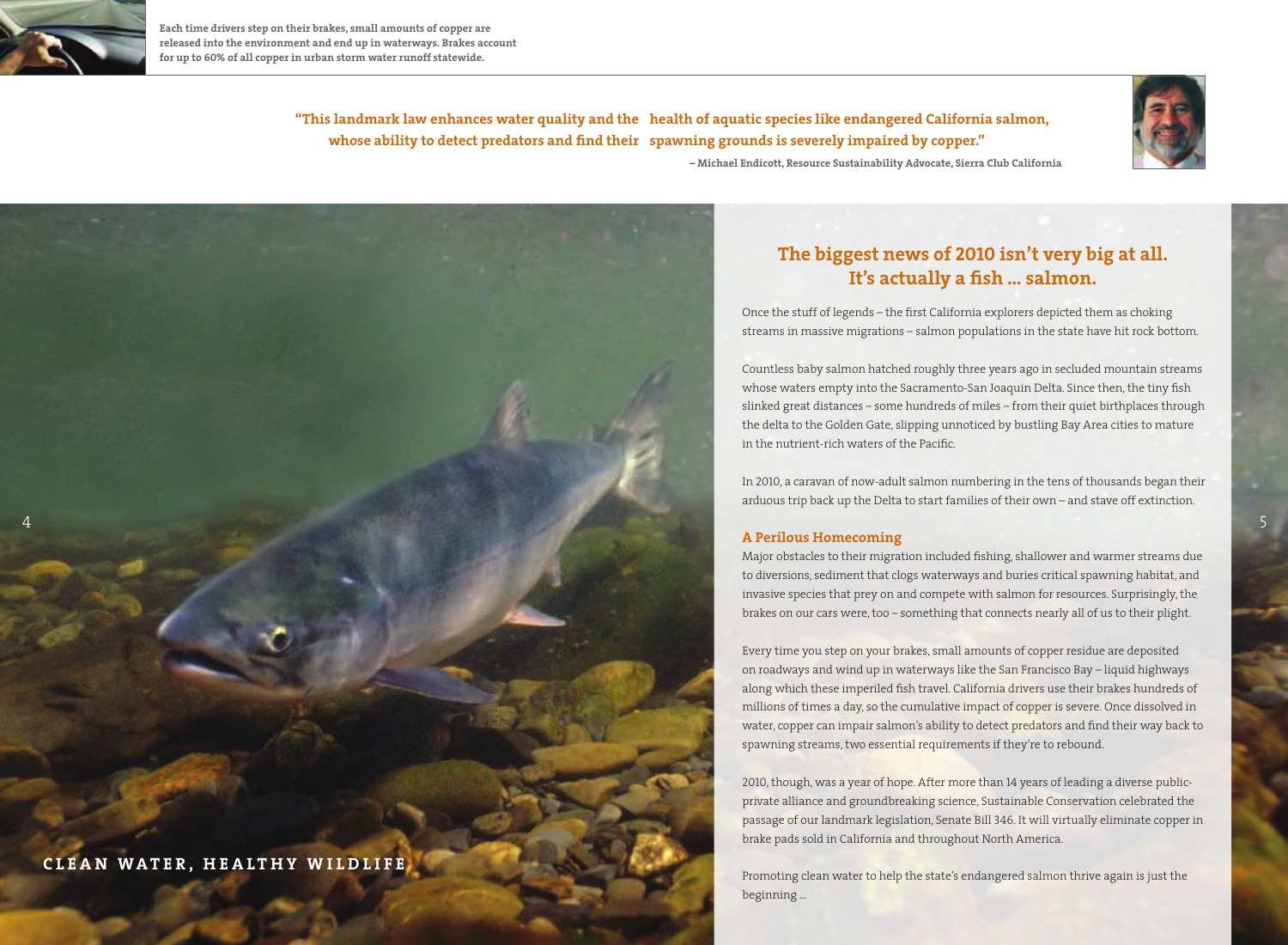

**Each time drivers step on their brakes, small amounts of copper are released into the environment and end up in waterways. Brakes account for up to 60% of all copper in urban storm water runoff statewide.**

> **"This landmark law enhances water quality and the health of aquatic species like endangered California salmon, whose ability to detect predators and find their spawning grounds is severely impaired by copper."**



 **– Michael Endicott, Resource Sustainability Advocate, Sierra Club California**



## **The biggest news of 2010 isn't very big at all. It's actually a fish … salmon.**

Once the stuff of legends – the first California explorers depicted them as choking streams in massive migrations – salmon populations in the state have hit rock bottom.

Countless baby salmon hatched roughly three years ago in secluded mountain streams whose waters empty into the Sacramento-San Joaquin Delta. Since then, the tiny fish slinked great distances – some hundreds of miles – from their quiet birthplaces through the delta to the Golden Gate, slipping unnoticed by bustling Bay Area cities to mature in the nutrient-rich waters of the Pacific.

In 2010, a caravan of now-adult salmon numbering in the tens of thousands began their arduous trip back up the Delta to start families of their own – and stave off extinction.

### **A Perilous Homecoming**

Major obstacles to their migration included fishing, shallower and warmer streams due to diversions, sediment that clogs waterways and buries critical spawning habitat, and invasive species that prey on and compete with salmon for resources. Surprisingly, the brakes on our cars were, too – something that connects nearly all of us to their plight.

Every time you step on your brakes, small amounts of copper residue are deposited on roadways and wind up in waterways like the San Francisco Bay – liquid highways along which these imperiled fish travel. California drivers use their brakes hundreds of millions of times a day, so the cumulative impact of copper is severe. Once dissolved in water, copper can impair salmon's ability to detect predators and find their way back to spawning streams, two essential requirements if they're to rebound.

2010, though, was a year of hope. After more than 14 years of leading a diverse publicprivate alliance and groundbreaking science, Sustainable Conservation celebrated the passage of our landmark legislation, Senate Bill 346. It will virtually eliminate copper in brake pads sold in California and throughout North America.

Promoting clean water to help the state's endangered salmon thrive again is just the beginning ...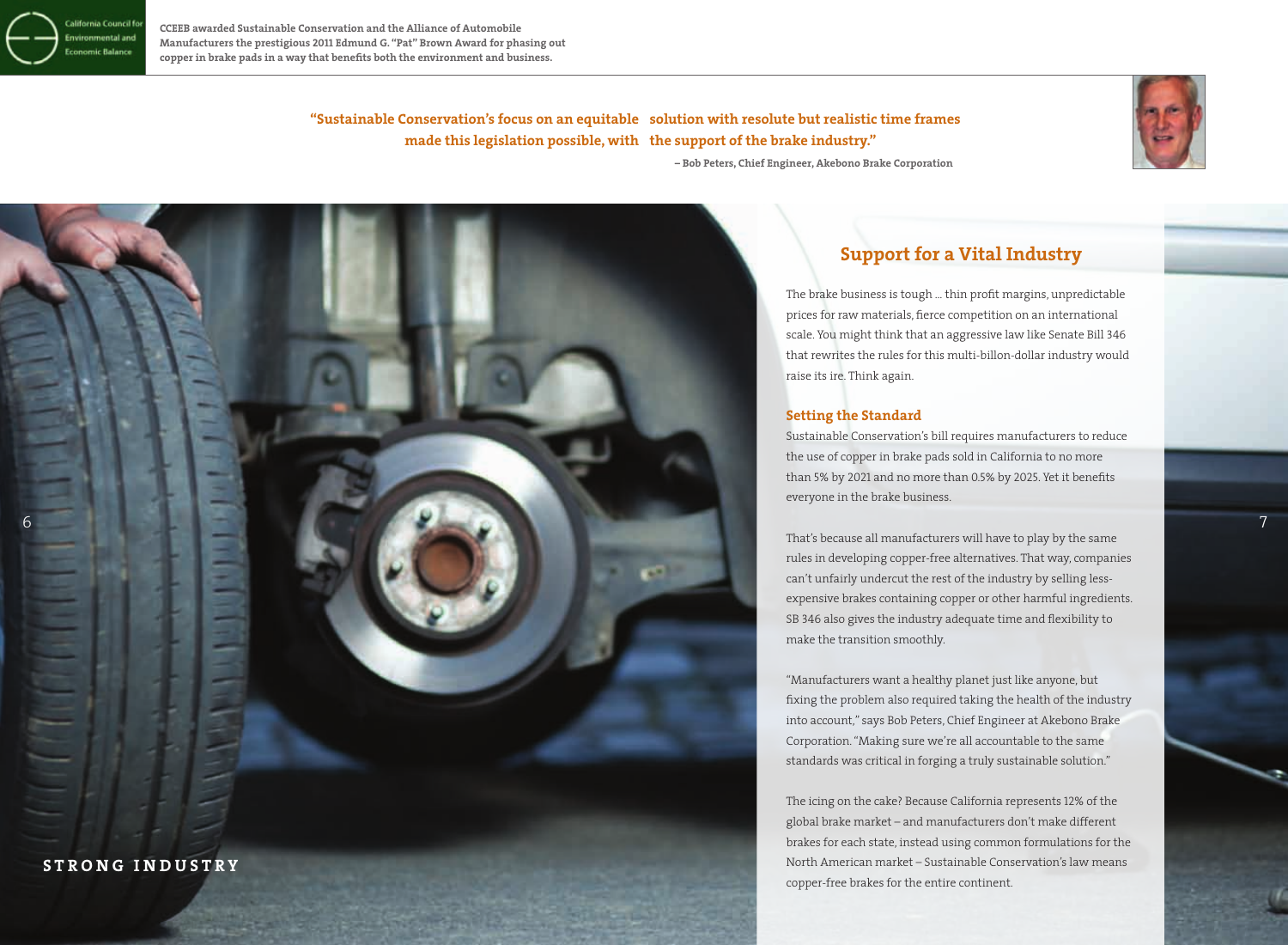

**CCEEB awarded Sustainable Conservation and the Alliance of Automobile Manufacturers the prestigious 2011 Edmund G. "Pat" Brown Award for phasing out copper in brake pads in a way that benefits both the environment and business.**

> **"Sustainable Conservation's focus on an equitable solution with resolute but realistic time frames made this legislation possible, with the support of the brake industry."**



**– Bob Peters, Chief Engineer, Akebono Brake Corporation**



## **Support for a Vital Industry**

The brake business is tough … thin profit margins, unpredictable prices for raw materials, fierce competition on an international scale. You might think that an aggressive law like Senate Bill 346 that rewrites the rules for this multi-billon-dollar industry would raise its ire. Think again.

### **Setting the Standard**

Sustainable Conservation's bill requires manufacturers to reduce the use of copper in brake pads sold in California to no more than 5% by 2021 and no more than 0.5% by 2025. Yet it benefits everyone in the brake business.

That's because all manufacturers will have to play by the same rules in developing copper-free alternatives. That way, companies can't unfairly undercut the rest of the industry by selling lessexpensive brakes containing copper or other harmful ingredients. SB 346 also gives the industry adequate time and flexibility to make the transition smoothly.

"Manufacturers want a healthy planet just like anyone, but fixing the problem also required taking the health of the industry into account," says Bob Peters, Chief Engineer at Akebono Brake Corporation. "Making sure we're all accountable to the same standards was critical in forging a truly sustainable solution."

The icing on the cake? Because California represents 12% of the global brake market – and manufacturers don't make different brakes for each state, instead using common formulations for the North American market – Sustainable Conservation's law means copper-free brakes for the entire continent.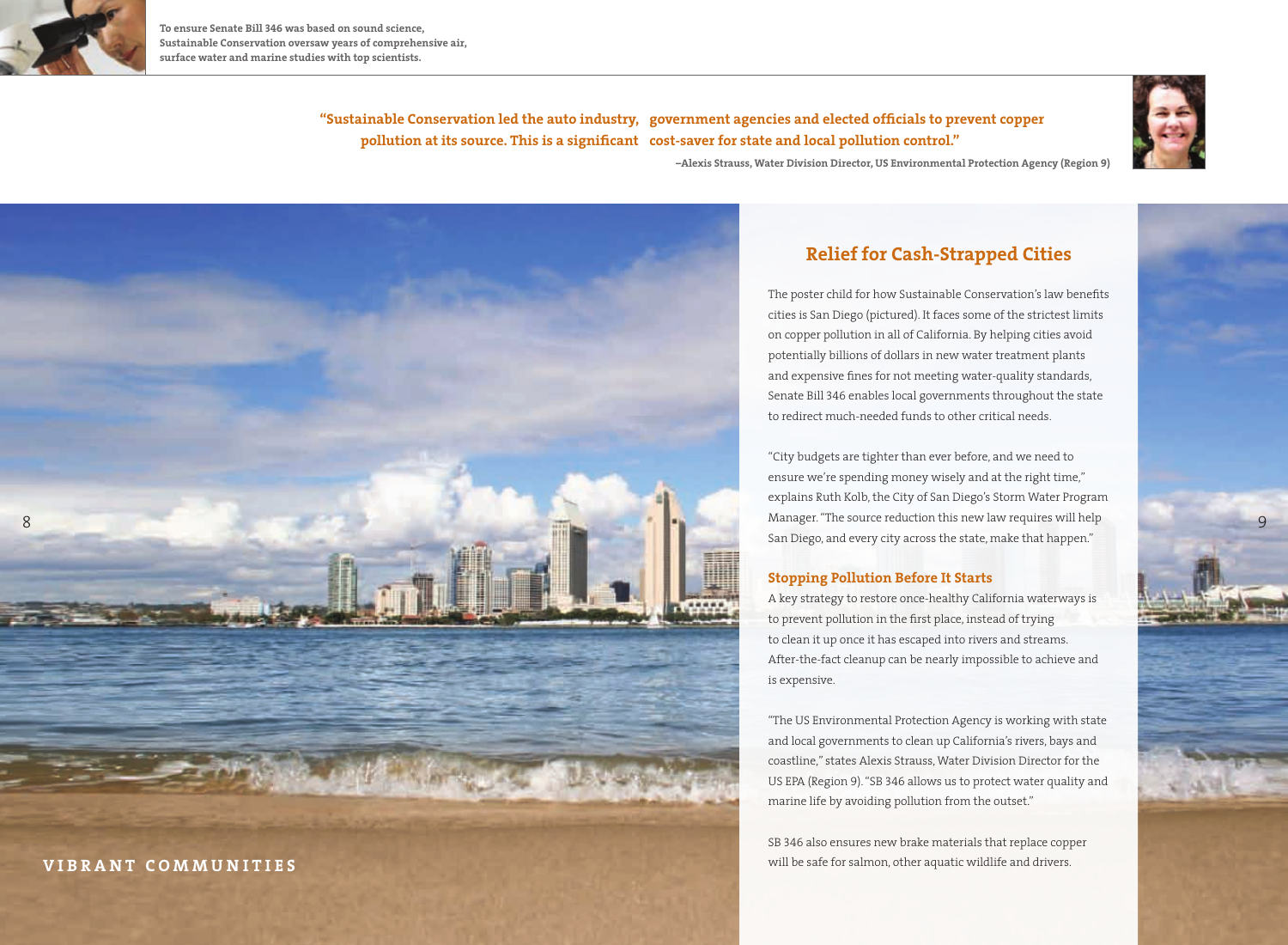

**To ensure Senate Bill 346 was based on sound science, Sustainable Conservation oversaw years of comprehensive air, surface water and marine studies with top scientists.**



**"Sustainable Conservation led the auto industry, government agencies and elected officials to prevent copper pollution at its source. This is a significant cost-saver for state and local pollution control."**

**–Alexis Strauss, Water Division Director, US Environmental Protection Agency (Region 9)**



## **Relief for Cash-Strapped Cities**

The poster child for how Sustainable Conservation's law benefits cities is San Diego (pictured). It faces some of the strictest limits on copper pollution in all of California. By helping cities avoid potentially billions of dollars in new water treatment plants and expensive fines for not meeting water-quality standards, Senate Bill 346 enables local governments throughout the state to redirect much-needed funds to other critical needs.

"City budgets are tighter than ever before, and we need to ensure we're spending money wisely and at the right time," explains Ruth Kolb, the City of San Diego's Storm Water Program San Diego, and every city across the state, make that happen."

## **Stopping Pollution Before It Starts**

A key strategy to restore once-healthy California waterways is to prevent pollution in the first place, instead of trying to clean it up once it has escaped into rivers and streams. After-the-fact cleanup can be nearly impossible to achieve and is expensive.

"The US Environmental Protection Agency is working with state and local governments to clean up California's rivers, bays and coastline," states Alexis Strauss, Water Division Director for the US EPA (Region 9). "SB 346 allows us to protect water quality and marine life by avoiding pollution from the outset."

SB 346 also ensures new brake materials that replace copper will be safe for salmon, other aquatic wildlife and drivers.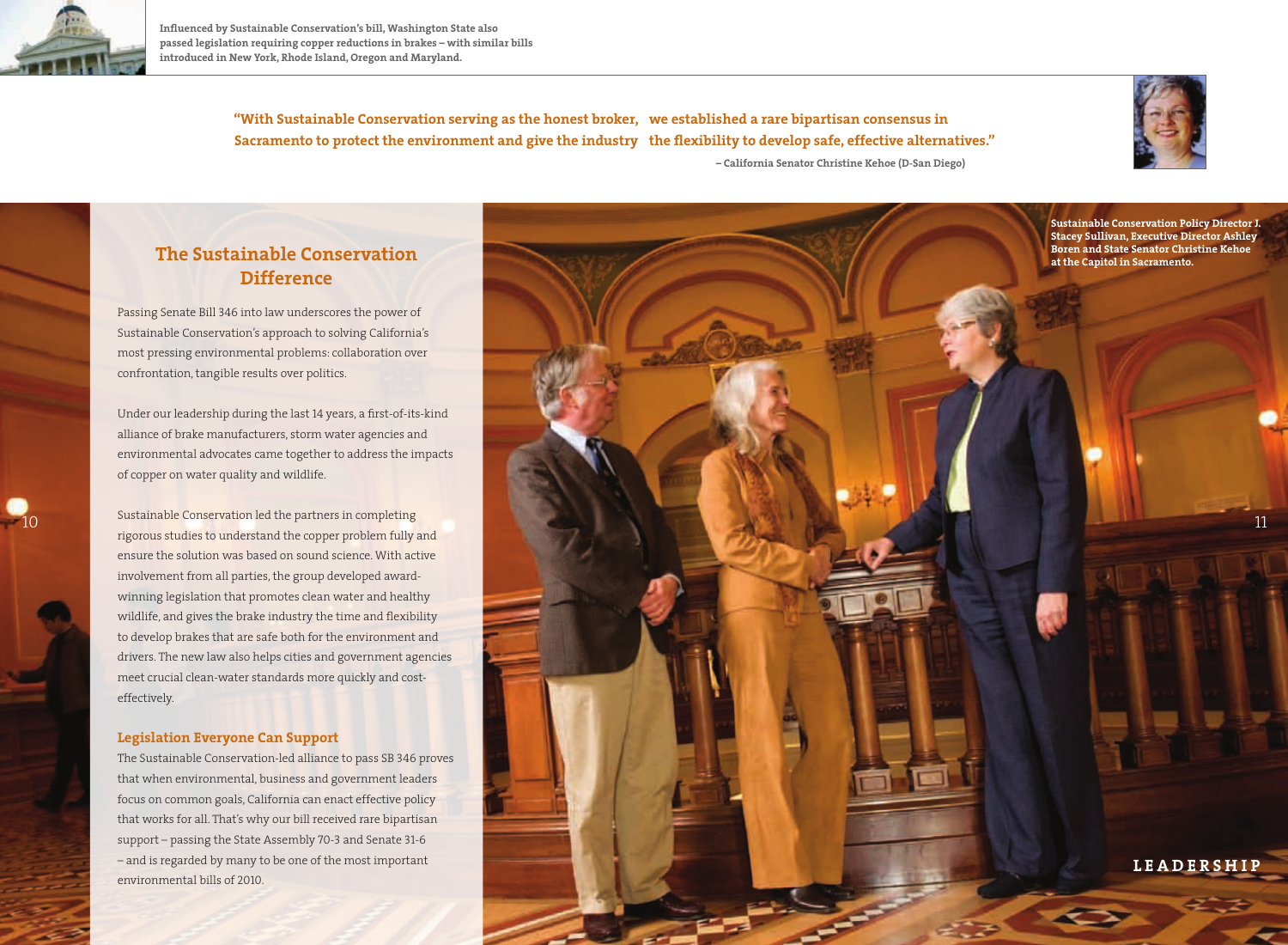

**Influenced by Sustainable Conservation's bill, Washington State also passed legislation requiring copper reductions in brakes – with similar bills introduced in New York, Rhode Island, Oregon and Maryland.**

> **"With Sustainable Conservation serving as the honest broker, we established a rare bipartisan consensus in Sacramento to protect the environment and give the industry the flexibility to develop safe, effective alternatives." – California Senator Christine Kehoe (D-San Diego)**



## **The Sustainable Conservation Difference**

Passing Senate Bill 346 into law underscores the power of Sustainable Conservation's approach to solving California's most pressing environmental problems: collaboration over confrontation, tangible results over politics.

Under our leadership during the last 14 years, a first-of-its-kind alliance of brake manufacturers, storm water agencies and environmental advocates came together to address the impacts of copper on water quality and wildlife.

Sustainable Conservation led the partners in completing rigorous studies to understand the copper problem fully and ensure the solution was based on sound science. With active involvement from all parties, the group developed awardwinning legislation that promotes clean water and healthy wildlife, and gives the brake industry the time and flexibility to develop brakes that are safe both for the environment and drivers. The new law also helps cities and government agencies meet crucial clean-water standards more quickly and costeffectively.

## **Legislation Everyone Can Support**

The Sustainable Conservation-led alliance to pass SB 346 proves that when environmental, business and government leaders focus on common goals, California can enact effective policy that works for all. That's why our bill received rare bipartisan support – passing the State Assembly 70-3 and Senate 31-6 – and is regarded by many to be one of the most important environmental bills of 2010.

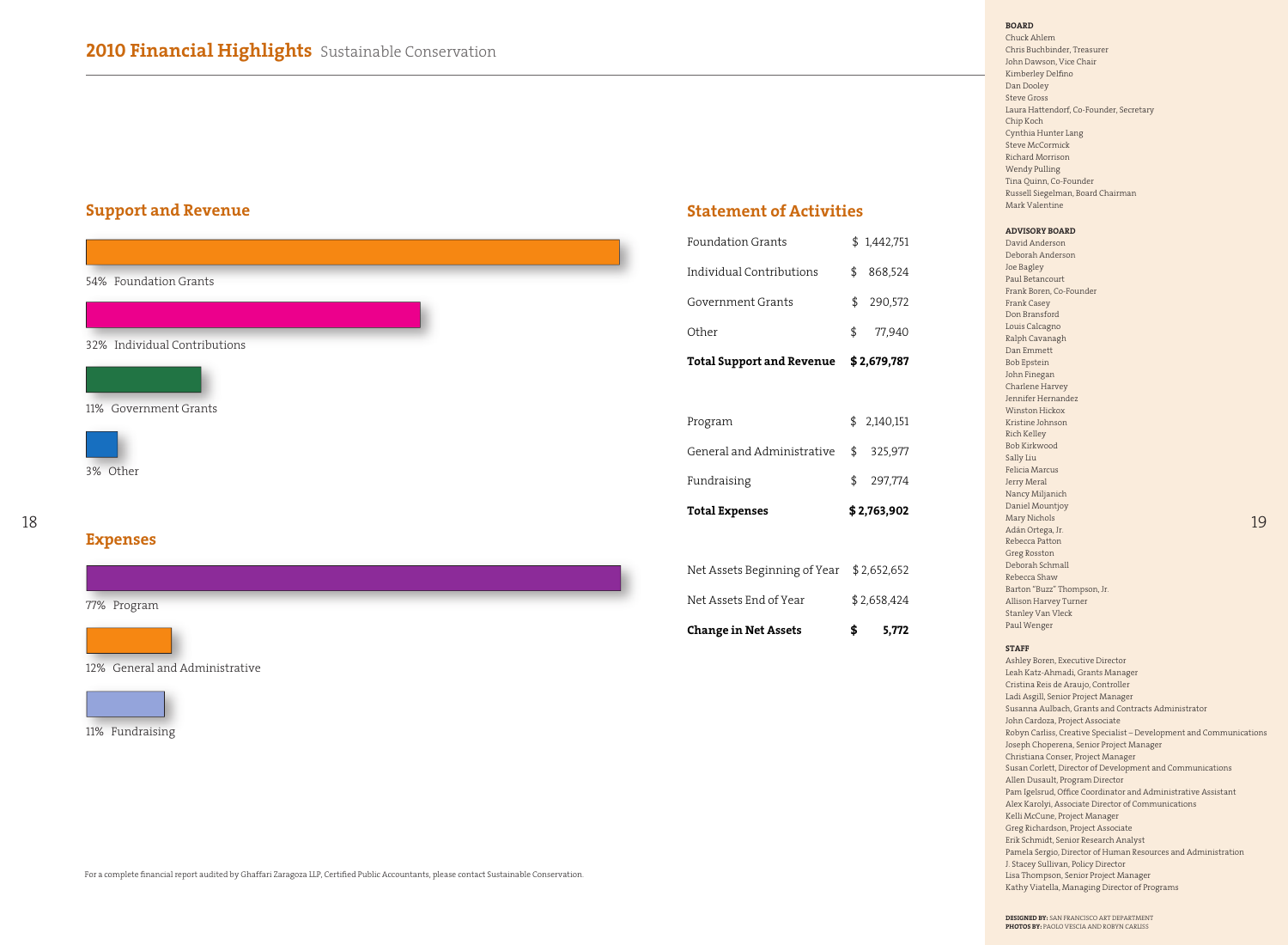## **Support and Revenue**

| 54% Foundation Grants        |  |
|------------------------------|--|
|                              |  |
| 32% Individual Contributions |  |
|                              |  |
| 11% Government Grants        |  |
|                              |  |
| 3% Other                     |  |
|                              |  |
| <b>Expenses</b>              |  |
|                              |  |
| 77% Program                  |  |
|                              |  |

| <b>Foundation Grants</b> | \$1,442,751 |
|--------------------------|-------------|

**Statement of Activities**

| Individual Contributions         | \$          | 868,524     |  |
|----------------------------------|-------------|-------------|--|
| Government Grants                | \$          | 290,572     |  |
| Other                            | \$          | 77,940      |  |
| <b>Total Support and Revenue</b> | \$2,679,787 |             |  |
|                                  |             |             |  |
| Program                          |             | \$2,140,151 |  |
| General and Administrative       | \$          | 325,977     |  |
| Fundraising                      | \$          | 297,774     |  |
| <b>Total Expenses</b>            | \$2,763,902 |             |  |
|                                  |             |             |  |
| Net Assets Beginning of Year     |             | \$2,652,652 |  |
| Net Assets End of Year           | \$2,658,424 |             |  |
| <b>Change in Net Assets</b>      | \$          | 5,772       |  |

**BOARD** Chuck Ahlem Chris Buchbinder, Treasurer John Dawson, Vice Chair Kimberley Delfino Dan Dooley Steve Gross Laura Hattendorf, Co-Founder, Secretary Chip Koch Cynthia Hunter Lang Steve McCormick Richard Morrison Wendy Pulling Tina Quinn, Co-Founder Russell Siegelman, Board Chairman Mark Valentine

### **ADVISORY BOARD**

David Anderson Deborah Anderson Joe Bagley Paul Betancourt Frank Boren, Co-Founder Frank Casey Don Bransford Louis Calcagno Ralph Cavanagh Dan Emmett Bob Epstein John Finegan Charlene Harvey Jennifer Hernandez Winston Hickox Kristine Johnson Rich Kelley Bob Kirkwood Sally Liu Felicia Marcus Jerry Meral Nancy Miljanich Daniel Mountjoy Mary Nichols Adán Ortega, Jr. Rebecca Patton Greg Rosston Deborah Schmall Rebecca Shaw Barton "Buzz" Thompson, Jr. Allison Harvey Turner Stanley Van Vleck Paul Wenger

### **STAFF**

Ashley Boren, Executive Director Leah Katz-Ahmadi, Grants Manager Cristina Reis de Araujo, Controller Ladi Asgill, Senior Project Manager Susanna Aulbach, Grants and Contracts Administrator John Cardoza, Project Associate Robyn Carliss, Creative Specialist – Development and Communications Joseph Choperena, Senior Project Manager Christiana Conser, Project Manager Susan Corlett, Director of Development and Communications Allen Dusault, Program Director Pam Igelsrud, Office Coordinator and Administrative Assistant Alex Karolyi, Associate Director of Communications Kelli McCune, Project Manager Greg Richardson, Project Associate Erik Schmidt, Senior Research Analyst Pamela Sergio, Director of Human Resources and Administration J. Stacey Sullivan, Policy Director Lisa Thompson, Senior Project Manager Kathy Viatella, Managing Director of Programs

19

**DESIGNED BY:** SAN FRANCISCO ART DEPARTMENT **PHOTOS BY:** PAOLO VESCIA AND ROBYN CARLISS



12% General and Administrative



11% Fundraising